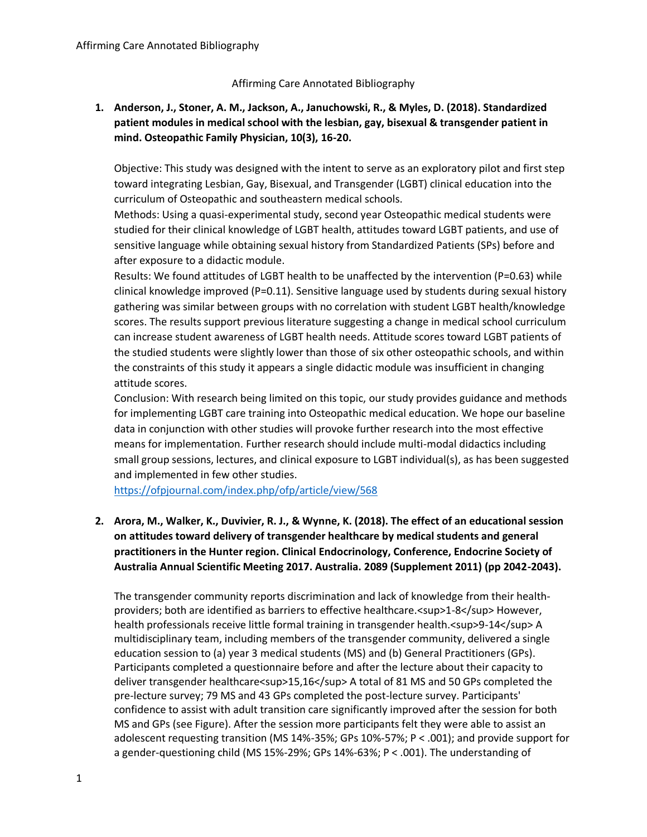### Affirming Care Annotated Bibliography

## **1. Anderson, J., Stoner, A. M., Jackson, A., Januchowski, R., & Myles, D. (2018). Standardized patient modules in medical school with the lesbian, gay, bisexual & transgender patient in mind. Osteopathic Family Physician, 10(3), 16-20.**

Objective: This study was designed with the intent to serve as an exploratory pilot and first step toward integrating Lesbian, Gay, Bisexual, and Transgender (LGBT) clinical education into the curriculum of Osteopathic and southeastern medical schools.

Methods: Using a quasi-experimental study, second year Osteopathic medical students were studied for their clinical knowledge of LGBT health, attitudes toward LGBT patients, and use of sensitive language while obtaining sexual history from Standardized Patients (SPs) before and after exposure to a didactic module.

Results: We found attitudes of LGBT health to be unaffected by the intervention (P=0.63) while clinical knowledge improved (P=0.11). Sensitive language used by students during sexual history gathering was similar between groups with no correlation with student LGBT health/knowledge scores. The results support previous literature suggesting a change in medical school curriculum can increase student awareness of LGBT health needs. Attitude scores toward LGBT patients of the studied students were slightly lower than those of six other osteopathic schools, and within the constraints of this study it appears a single didactic module was insufficient in changing attitude scores.

Conclusion: With research being limited on this topic, our study provides guidance and methods for implementing LGBT care training into Osteopathic medical education. We hope our baseline data in conjunction with other studies will provoke further research into the most effective means for implementation. Further research should include multi-modal didactics including small group sessions, lectures, and clinical exposure to LGBT individual(s), as has been suggested and implemented in few other studies.

<https://ofpjournal.com/index.php/ofp/article/view/568>

# **2. Arora, M., Walker, K., Duvivier, R. J., & Wynne, K. (2018). The effect of an educational session on attitudes toward delivery of transgender healthcare by medical students and general practitioners in the Hunter region. Clinical Endocrinology, Conference, Endocrine Society of Australia Annual Scientific Meeting 2017. Australia. 2089 (Supplement 2011) (pp 2042-2043).**

The transgender community reports discrimination and lack of knowledge from their healthproviders; both are identified as barriers to effective healthcare.<sup>1-8</sup> However, health professionals receive little formal training in transgender health.<sup>9-14</sup>A multidisciplinary team, including members of the transgender community, delivered a single education session to (a) year 3 medical students (MS) and (b) General Practitioners (GPs). Participants completed a questionnaire before and after the lecture about their capacity to deliver transgender healthcare<sup>15,16</sup>A total of 81 MS and 50 GPs completed the pre-lecture survey; 79 MS and 43 GPs completed the post-lecture survey. Participants' confidence to assist with adult transition care significantly improved after the session for both MS and GPs (see Figure). After the session more participants felt they were able to assist an adolescent requesting transition (MS 14%-35%; GPs 10%-57%; P < .001); and provide support for a gender-questioning child (MS 15%-29%; GPs 14%-63%; P < .001). The understanding of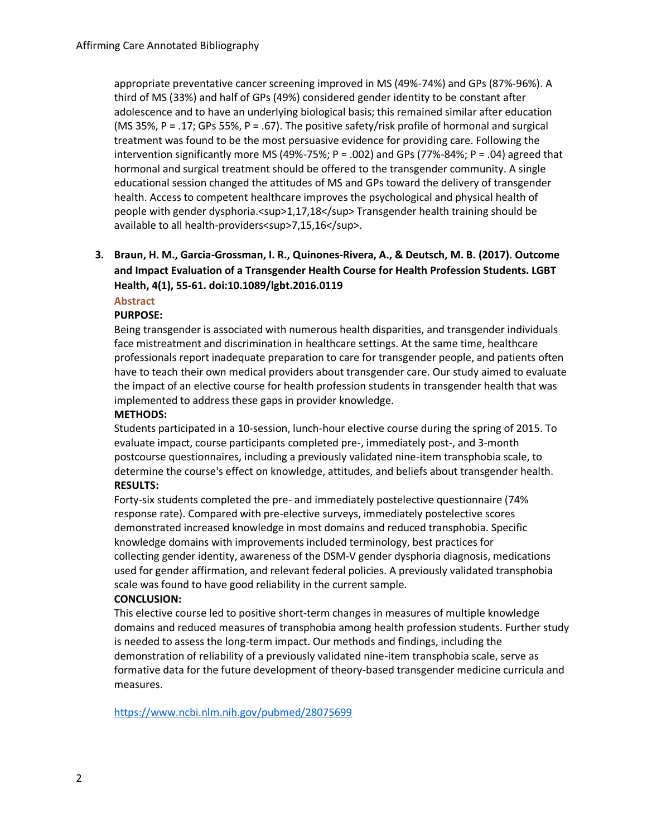appropriate preventative cancer screening improved in MS (49%-74%) and GPs (87%-96%). A third of MS (33%) and half of GPs (49%) considered gender identity to be constant after adolescence and to have an underlying biological basis; this remained similar after education (MS 35%, P = .17; GPs 55%, P = .67). The positive safety/risk profile of hormonal and surgical treatment was found to be the most persuasive evidence for providing care. Following the intervention significantly more MS (49%-75%;  $P = .002$ ) and GPs (77%-84%;  $P = .04$ ) agreed that hormonal and surgical treatment should be offered to the transgender community. A single educational session changed the attitudes of MS and GPs toward the delivery of transgender health. Access to competent healthcare improves the psychological and physical health of people with gender dysphoria.<sup>1,17,18</sup>Transgender health training should be available to all health-providers<sup>7,15,16</sup>.

# **3. Braun, H. M., Garcia-Grossman, I. R., Quinones-Rivera, A., & Deutsch, M. B. (2017). Outcome and Impact Evaluation of a Transgender Health Course for Health Profession Students. LGBT Health, 4(1), 55-61. doi:10.1089/lgbt.2016.0119**

**Abstract**

#### **PURPOSE:**

Being transgender is associated with numerous health disparities, and transgender individuals face mistreatment and discrimination in healthcare settings. At the same time, healthcare professionals report inadequate preparation to care for transgender people, and patients often have to teach their own medical providers about transgender care. Our study aimed to evaluate the impact of an elective course for health profession students in transgender health that was implemented to address these gaps in provider knowledge.

#### **METHODS:**

Students participated in a 10-session, lunch-hour elective course during the spring of 2015. To evaluate impact, course participants completed pre-, immediately post-, and 3-month postcourse questionnaires, including a previously validated nine-item transphobia scale, to determine the course's effect on knowledge, attitudes, and beliefs about transgender health. **RESULTS:**

Forty-six students completed the pre- and immediately postelective questionnaire (74% response rate). Compared with pre-elective surveys, immediately postelective scores demonstrated increased knowledge in most domains and reduced transphobia. Specific knowledge domains with improvements included terminology, best practices for collecting gender identity, awareness of the DSM-V gender dysphoria diagnosis, medications used for gender affirmation, and relevant federal policies. A previously validated transphobia scale was found to have good reliability in the current sample.

#### **CONCLUSION:**

This elective course led to positive short-term changes in measures of multiple knowledge domains and reduced measures of transphobia among health profession students. Further study is needed to assess the long-term impact. Our methods and findings, including the demonstration of reliability of a previously validated nine-item transphobia scale, serve as formative data for the future development of theory-based transgender medicine curricula and measures.

<https://www.ncbi.nlm.nih.gov/pubmed/28075699>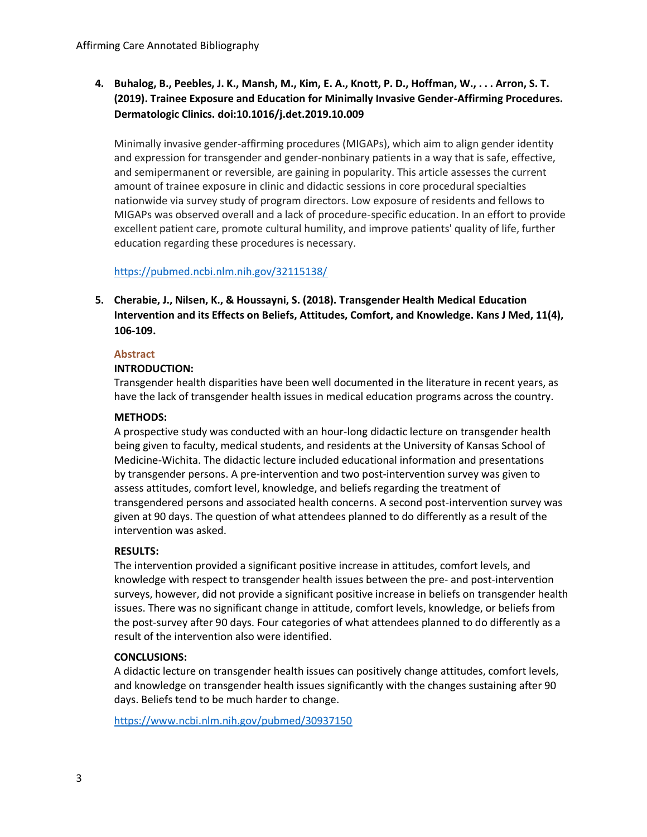**4. Buhalog, B., Peebles, J. K., Mansh, M., Kim, E. A., Knott, P. D., Hoffman, W., . . . Arron, S. T. (2019). Trainee Exposure and Education for Minimally Invasive Gender-Affirming Procedures. Dermatologic Clinics. doi:10.1016/j.det.2019.10.009**

Minimally invasive gender-affirming procedures (MIGAPs), which aim to align gender identity and expression for transgender and gender-nonbinary patients in a way that is safe, effective, and semipermanent or reversible, are gaining in popularity. This article assesses the current amount of trainee exposure in clinic and didactic sessions in core procedural specialties nationwide via survey study of program directors. Low exposure of residents and fellows to MIGAPs was observed overall and a lack of procedure-specific education. In an effort to provide excellent patient care, promote cultural humility, and improve patients' quality of life, further education regarding these procedures is necessary.

## https://pubmed.ncbi.nlm.nih.gov/32115138/

**5. Cherabie, J., Nilsen, K., & Houssayni, S. (2018). Transgender Health Medical Education Intervention and its Effects on Beliefs, Attitudes, Comfort, and Knowledge. Kans J Med, 11(4), 106-109.** 

#### **Abstract**

## **INTRODUCTION:**

Transgender health disparities have been well documented in the literature in recent years, as have the lack of transgender health issues in medical education programs across the country.

### **METHODS:**

A prospective study was conducted with an hour-long didactic lecture on transgender health being given to faculty, medical students, and residents at the University of Kansas School of Medicine-Wichita. The didactic lecture included educational information and presentations by transgender persons. A pre-intervention and two post-intervention survey was given to assess attitudes, comfort level, knowledge, and beliefs regarding the treatment of transgendered persons and associated health concerns. A second post-intervention survey was given at 90 days. The question of what attendees planned to do differently as a result of the intervention was asked.

#### **RESULTS:**

The intervention provided a significant positive increase in attitudes, comfort levels, and knowledge with respect to transgender health issues between the pre- and post-intervention surveys, however, did not provide a significant positive increase in beliefs on transgender health issues. There was no significant change in attitude, comfort levels, knowledge, or beliefs from the post-survey after 90 days. Four categories of what attendees planned to do differently as a result of the intervention also were identified.

#### **CONCLUSIONS:**

A didactic lecture on transgender health issues can positively change attitudes, comfort levels, and knowledge on transgender health issues significantly with the changes sustaining after 90 days. Beliefs tend to be much harder to change.

<https://www.ncbi.nlm.nih.gov/pubmed/30937150>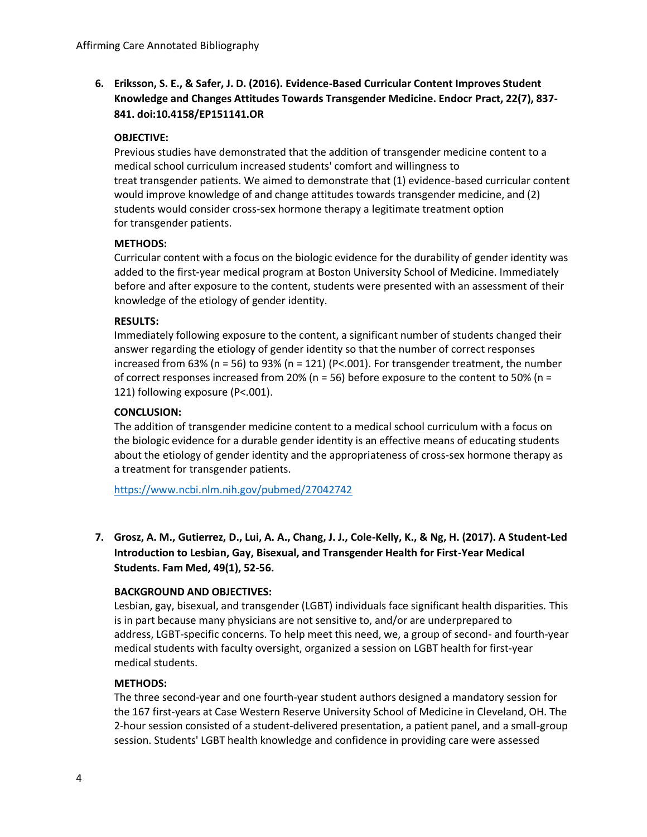**6. Eriksson, S. E., & Safer, J. D. (2016). Evidence-Based Curricular Content Improves Student Knowledge and Changes Attitudes Towards Transgender Medicine. Endocr Pract, 22(7), 837- 841. doi:10.4158/EP151141.OR**

### **OBJECTIVE:**

Previous studies have demonstrated that the addition of transgender medicine content to a medical school curriculum increased students' comfort and willingness to treat transgender patients. We aimed to demonstrate that (1) evidence-based curricular content would improve knowledge of and change attitudes towards transgender medicine, and (2) students would consider cross-sex hormone therapy a legitimate treatment option for transgender patients.

### **METHODS:**

Curricular content with a focus on the biologic evidence for the durability of gender identity was added to the first-year medical program at Boston University School of Medicine. Immediately before and after exposure to the content, students were presented with an assessment of their knowledge of the etiology of gender identity.

### **RESULTS:**

Immediately following exposure to the content, a significant number of students changed their answer regarding the etiology of gender identity so that the number of correct responses increased from 63% (n = 56) to 93% (n = 121) (P<.001). For transgender treatment, the number of correct responses increased from 20% (n = 56) before exposure to the content to 50% (n = 121) following exposure (P<.001).

### **CONCLUSION:**

The addition of transgender medicine content to a medical school curriculum with a focus on the biologic evidence for a durable gender identity is an effective means of educating students about the etiology of gender identity and the appropriateness of cross-sex hormone therapy as a treatment for transgender patients.

<https://www.ncbi.nlm.nih.gov/pubmed/27042742>

**7. Grosz, A. M., Gutierrez, D., Lui, A. A., Chang, J. J., Cole-Kelly, K., & Ng, H. (2017). A Student-Led Introduction to Lesbian, Gay, Bisexual, and Transgender Health for First-Year Medical Students. Fam Med, 49(1), 52-56.** 

## **BACKGROUND AND OBJECTIVES:**

Lesbian, gay, bisexual, and transgender (LGBT) individuals face significant health disparities. This is in part because many physicians are not sensitive to, and/or are underprepared to address, LGBT-specific concerns. To help meet this need, we, a group of second- and fourth-year medical students with faculty oversight, organized a session on LGBT health for first-year medical students.

#### **METHODS:**

The three second-year and one fourth-year student authors designed a mandatory session for the 167 first-years at Case Western Reserve University School of Medicine in Cleveland, OH. The 2-hour session consisted of a student-delivered presentation, a patient panel, and a small-group session. Students' LGBT health knowledge and confidence in providing care were assessed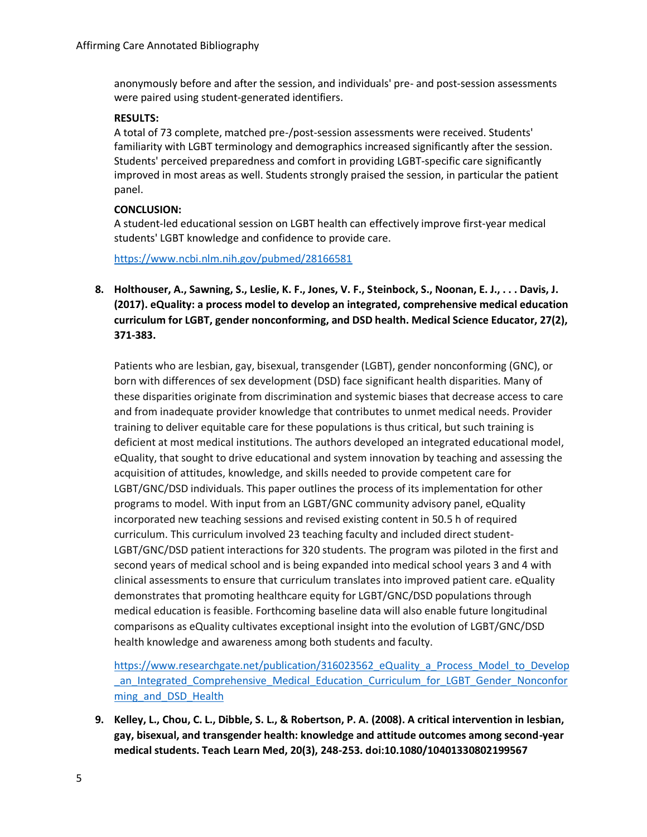anonymously before and after the session, and individuals' pre- and post-session assessments were paired using student-generated identifiers.

### **RESULTS:**

A total of 73 complete, matched pre-/post-session assessments were received. Students' familiarity with LGBT terminology and demographics increased significantly after the session. Students' perceived preparedness and comfort in providing LGBT-specific care significantly improved in most areas as well. Students strongly praised the session, in particular the patient panel.

## **CONCLUSION:**

A student-led educational session on LGBT health can effectively improve first-year medical students' LGBT knowledge and confidence to provide care.

<https://www.ncbi.nlm.nih.gov/pubmed/28166581>

**8. Holthouser, A., Sawning, S., Leslie, K. F., Jones, V. F., Steinbock, S., Noonan, E. J., . . . Davis, J. (2017). eQuality: a process model to develop an integrated, comprehensive medical education curriculum for LGBT, gender nonconforming, and DSD health. Medical Science Educator, 27(2), 371-383.** 

Patients who are lesbian, gay, bisexual, transgender (LGBT), gender nonconforming (GNC), or born with differences of sex development (DSD) face significant health disparities. Many of these disparities originate from discrimination and systemic biases that decrease access to care and from inadequate provider knowledge that contributes to unmet medical needs. Provider training to deliver equitable care for these populations is thus critical, but such training is deficient at most medical institutions. The authors developed an integrated educational model, eQuality, that sought to drive educational and system innovation by teaching and assessing the acquisition of attitudes, knowledge, and skills needed to provide competent care for LGBT/GNC/DSD individuals. This paper outlines the process of its implementation for other programs to model. With input from an LGBT/GNC community advisory panel, eQuality incorporated new teaching sessions and revised existing content in 50.5 h of required curriculum. This curriculum involved 23 teaching faculty and included direct student-LGBT/GNC/DSD patient interactions for 320 students. The program was piloted in the first and second years of medical school and is being expanded into medical school years 3 and 4 with clinical assessments to ensure that curriculum translates into improved patient care. eQuality demonstrates that promoting healthcare equity for LGBT/GNC/DSD populations through medical education is feasible. Forthcoming baseline data will also enable future longitudinal comparisons as eQuality cultivates exceptional insight into the evolution of LGBT/GNC/DSD health knowledge and awareness among both students and faculty.

[https://www.researchgate.net/publication/316023562\\_eQuality\\_a\\_Process\\_Model\\_to\\_Develop](https://www.researchgate.net/publication/316023562_eQuality_a_Process_Model_to_Develop_an_Integrated_Comprehensive_Medical_Education_Curriculum_for_LGBT_Gender_Nonconforming_and_DSD_Health) an Integrated Comprehensive Medical Education Curriculum for LGBT Gender Nonconfor ming and DSD Health

**9. Kelley, L., Chou, C. L., Dibble, S. L., & Robertson, P. A. (2008). A critical intervention in lesbian, gay, bisexual, and transgender health: knowledge and attitude outcomes among second-year medical students. Teach Learn Med, 20(3), 248-253. doi:10.1080/10401330802199567**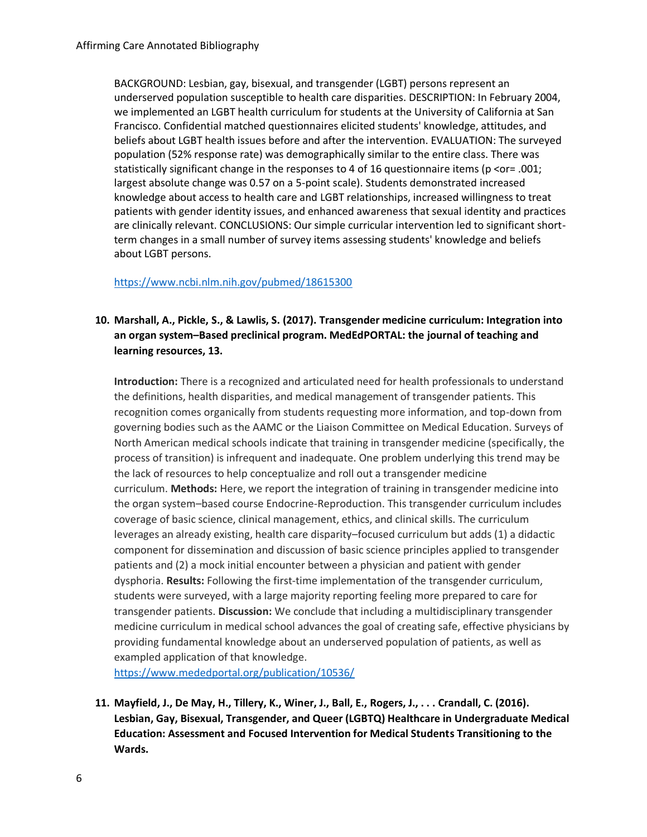BACKGROUND: Lesbian, gay, bisexual, and transgender (LGBT) persons represent an underserved population susceptible to health care disparities. DESCRIPTION: In February 2004, we implemented an LGBT health curriculum for students at the University of California at San Francisco. Confidential matched questionnaires elicited students' knowledge, attitudes, and beliefs about LGBT health issues before and after the intervention. EVALUATION: The surveyed population (52% response rate) was demographically similar to the entire class. There was statistically significant change in the responses to 4 of 16 questionnaire items (p <or= .001; largest absolute change was 0.57 on a 5-point scale). Students demonstrated increased knowledge about access to health care and LGBT relationships, increased willingness to treat patients with gender identity issues, and enhanced awareness that sexual identity and practices are clinically relevant. CONCLUSIONS: Our simple curricular intervention led to significant shortterm changes in a small number of survey items assessing students' knowledge and beliefs about LGBT persons.

#### <https://www.ncbi.nlm.nih.gov/pubmed/18615300>

## **10. Marshall, A., Pickle, S., & Lawlis, S. (2017). Transgender medicine curriculum: Integration into an organ system–Based preclinical program. MedEdPORTAL: the journal of teaching and learning resources, 13.**

**Introduction:** There is a recognized and articulated need for health professionals to understand the definitions, health disparities, and medical management of transgender patients. This recognition comes organically from students requesting more information, and top-down from governing bodies such as the AAMC or the Liaison Committee on Medical Education. Surveys of North American medical schools indicate that training in transgender medicine (specifically, the process of transition) is infrequent and inadequate. One problem underlying this trend may be the lack of resources to help conceptualize and roll out a transgender medicine curriculum. **Methods:** Here, we report the integration of training in transgender medicine into the organ system–based course Endocrine-Reproduction. This transgender curriculum includes coverage of basic science, clinical management, ethics, and clinical skills. The curriculum leverages an already existing, health care disparity–focused curriculum but adds (1) a didactic component for dissemination and discussion of basic science principles applied to transgender patients and (2) a mock initial encounter between a physician and patient with gender dysphoria. **Results:** Following the first-time implementation of the transgender curriculum, students were surveyed, with a large majority reporting feeling more prepared to care for transgender patients. **Discussion:** We conclude that including a multidisciplinary transgender medicine curriculum in medical school advances the goal of creating safe, effective physicians by providing fundamental knowledge about an underserved population of patients, as well as exampled application of that knowledge.

<https://www.mededportal.org/publication/10536/>

**11. Mayfield, J., De May, H., Tillery, K., Winer, J., Ball, E., Rogers, J., . . . Crandall, C. (2016). Lesbian, Gay, Bisexual, Transgender, and Queer (LGBTQ) Healthcare in Undergraduate Medical Education: Assessment and Focused Intervention for Medical Students Transitioning to the Wards.**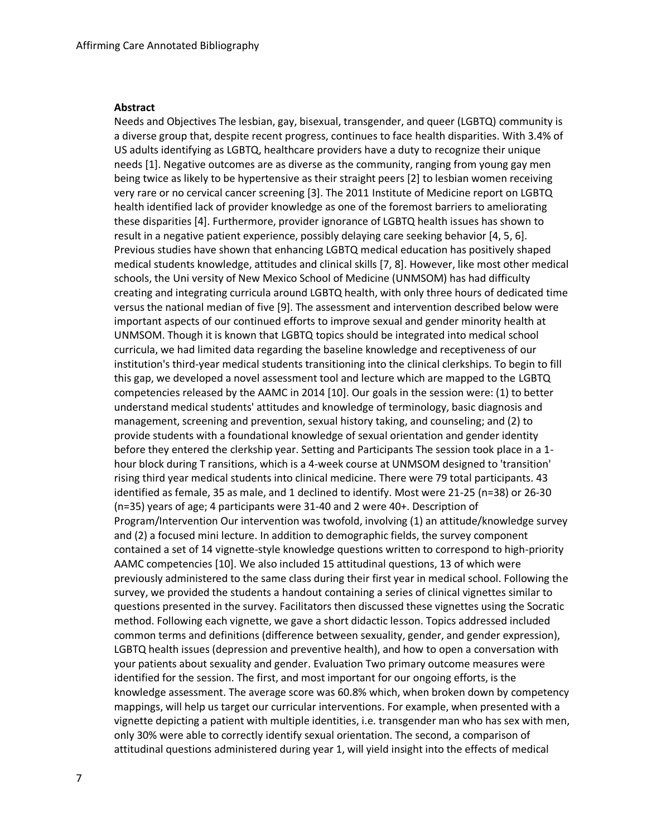#### **Abstract**

Needs and Objectives The lesbian, gay, bisexual, transgender, and queer (LGBTQ) community is a diverse group that, despite recent progress, continues to face health disparities. With 3.4% of US adults identifying as LGBTQ, healthcare providers have a duty to recognize their unique needs [1]. Negative outcomes are as diverse as the community, ranging from young gay men being twice as likely to be hypertensive as their straight peers [2] to lesbian women receiving very rare or no cervical cancer screening [3]. The 2011 Institute of Medicine report on LGBTQ health identified lack of provider knowledge as one of the foremost barriers to ameliorating these disparities [4]. Furthermore, provider ignorance of LGBTQ health issues has shown to result in a negative patient experience, possibly delaying care seeking behavior [4, 5, 6]. Previous studies have shown that enhancing LGBTQ medical education has positively shaped medical students knowledge, attitudes and clinical skills [7, 8]. However, like most other medical schools, the Uni versity of New Mexico School of Medicine (UNMSOM) has had difficulty creating and integrating curricula around LGBTQ health, with only three hours of dedicated time versus the national median of five [9]. The assessment and intervention described below were important aspects of our continued efforts to improve sexual and gender minority health at UNMSOM. Though it is known that LGBTQ topics should be integrated into medical school curricula, we had limited data regarding the baseline knowledge and receptiveness of our institution's third-year medical students transitioning into the clinical clerkships. To begin to fill this gap, we developed a novel assessment tool and lecture which are mapped to the LGBTQ competencies released by the AAMC in 2014 [10]. Our goals in the session were: (1) to better understand medical students' attitudes and knowledge of terminology, basic diagnosis and management, screening and prevention, sexual history taking, and counseling; and (2) to provide students with a foundational knowledge of sexual orientation and gender identity before they entered the clerkship year. Setting and Participants The session took place in a 1 hour block during T ransitions, which is a 4-week course at UNMSOM designed to 'transition' rising third year medical students into clinical medicine. There were 79 total participants. 43 identified as female, 35 as male, and 1 declined to identify. Most were 21-25 (n=38) or 26-30 (n=35) years of age; 4 participants were 31-40 and 2 were 40+. Description of Program/Intervention Our intervention was twofold, involving (1) an attitude/knowledge survey and (2) a focused mini lecture. In addition to demographic fields, the survey component contained a set of 14 vignette-style knowledge questions written to correspond to high-priority AAMC competencies [10]. We also included 15 attitudinal questions, 13 of which were previously administered to the same class during their first year in medical school. Following the survey, we provided the students a handout containing a series of clinical vignettes similar to questions presented in the survey. Facilitators then discussed these vignettes using the Socratic method. Following each vignette, we gave a short didactic lesson. Topics addressed included common terms and definitions (difference between sexuality, gender, and gender expression), LGBTQ health issues (depression and preventive health), and how to open a conversation with your patients about sexuality and gender. Evaluation Two primary outcome measures were identified for the session. The first, and most important for our ongoing efforts, is the knowledge assessment. The average score was 60.8% which, when broken down by competency mappings, will help us target our curricular interventions. For example, when presented with a vignette depicting a patient with multiple identities, i.e. transgender man who has sex with men, only 30% were able to correctly identify sexual orientation. The second, a comparison of attitudinal questions administered during year 1, will yield insight into the effects of medical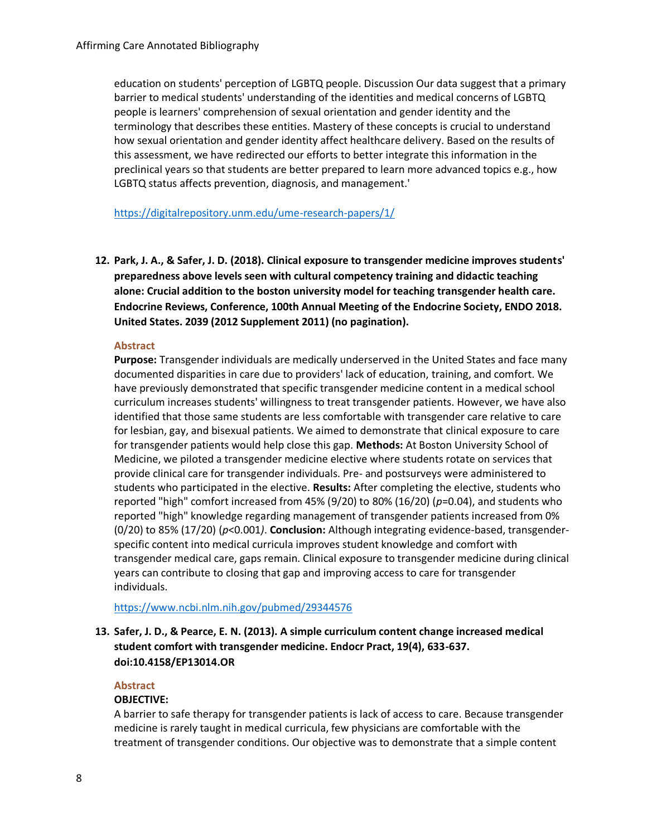education on students' perception of LGBTQ people. Discussion Our data suggest that a primary barrier to medical students' understanding of the identities and medical concerns of LGBTQ people is learners' comprehension of sexual orientation and gender identity and the terminology that describes these entities. Mastery of these concepts is crucial to understand how sexual orientation and gender identity affect healthcare delivery. Based on the results of this assessment, we have redirected our efforts to better integrate this information in the preclinical years so that students are better prepared to learn more advanced topics e.g., how LGBTQ status affects prevention, diagnosis, and management.'

<https://digitalrepository.unm.edu/ume-research-papers/1/>

**12. Park, J. A., & Safer, J. D. (2018). Clinical exposure to transgender medicine improves students' preparedness above levels seen with cultural competency training and didactic teaching alone: Crucial addition to the boston university model for teaching transgender health care. Endocrine Reviews, Conference, 100th Annual Meeting of the Endocrine Society, ENDO 2018. United States. 2039 (2012 Supplement 2011) (no pagination).** 

#### **Abstract**

**Purpose:** Transgender individuals are medically underserved in the United States and face many documented disparities in care due to providers' lack of education, training, and comfort. We have previously demonstrated that specific transgender medicine content in a medical school curriculum increases students' willingness to treat transgender patients. However, we have also identified that those same students are less comfortable with transgender care relative to care for lesbian, gay, and bisexual patients. We aimed to demonstrate that clinical exposure to care for transgender patients would help close this gap. **Methods:** At Boston University School of Medicine, we piloted a transgender medicine elective where students rotate on services that provide clinical care for transgender individuals. Pre- and postsurveys were administered to students who participated in the elective. **Results:** After completing the elective, students who reported "high" comfort increased from 45% (9/20) to 80% (16/20) (*p*=0.04), and students who reported "high" knowledge regarding management of transgender patients increased from 0% (0/20) to 85% (17/20) (*p*<0.001*)*. **Conclusion:** Although integrating evidence-based, transgenderspecific content into medical curricula improves student knowledge and comfort with transgender medical care, gaps remain. Clinical exposure to transgender medicine during clinical years can contribute to closing that gap and improving access to care for transgender individuals.

<https://www.ncbi.nlm.nih.gov/pubmed/29344576>

## **13. Safer, J. D., & Pearce, E. N. (2013). A simple curriculum content change increased medical student comfort with transgender medicine. Endocr Pract, 19(4), 633-637. doi:10.4158/EP13014.OR**

#### **Abstract**

#### **OBJECTIVE:**

A barrier to safe therapy for transgender patients is lack of access to care. Because transgender medicine is rarely taught in medical curricula, few physicians are comfortable with the treatment of transgender conditions. Our objective was to demonstrate that a simple content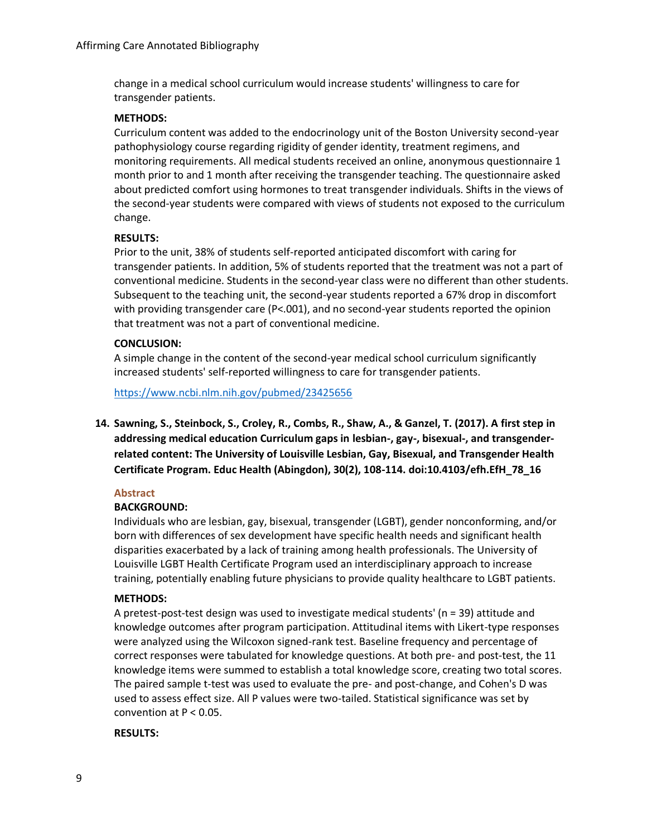change in a medical school curriculum would increase students' willingness to care for transgender patients.

#### **METHODS:**

Curriculum content was added to the endocrinology unit of the Boston University second-year pathophysiology course regarding rigidity of gender identity, treatment regimens, and monitoring requirements. All medical students received an online, anonymous questionnaire 1 month prior to and 1 month after receiving the transgender teaching. The questionnaire asked about predicted comfort using hormones to treat transgender individuals. Shifts in the views of the second-year students were compared with views of students not exposed to the curriculum change.

#### **RESULTS:**

Prior to the unit, 38% of students self-reported anticipated discomfort with caring for transgender patients. In addition, 5% of students reported that the treatment was not a part of conventional medicine. Students in the second-year class were no different than other students. Subsequent to the teaching unit, the second-year students reported a 67% drop in discomfort with providing transgender care (P<.001), and no second-year students reported the opinion that treatment was not a part of conventional medicine.

#### **CONCLUSION:**

A simple change in the content of the second-year medical school curriculum significantly increased students' self-reported willingness to care for transgender patients.

<https://www.ncbi.nlm.nih.gov/pubmed/23425656>

**14. Sawning, S., Steinbock, S., Croley, R., Combs, R., Shaw, A., & Ganzel, T. (2017). A first step in addressing medical education Curriculum gaps in lesbian-, gay-, bisexual-, and transgenderrelated content: The University of Louisville Lesbian, Gay, Bisexual, and Transgender Health Certificate Program. Educ Health (Abingdon), 30(2), 108-114. doi:10.4103/efh.EfH\_78\_16**

#### **Abstract**

## **BACKGROUND:**

Individuals who are lesbian, gay, bisexual, transgender (LGBT), gender nonconforming, and/or born with differences of sex development have specific health needs and significant health disparities exacerbated by a lack of training among health professionals. The University of Louisville LGBT Health Certificate Program used an interdisciplinary approach to increase training, potentially enabling future physicians to provide quality healthcare to LGBT patients.

#### **METHODS:**

A pretest-post-test design was used to investigate medical students' (n = 39) attitude and knowledge outcomes after program participation. Attitudinal items with Likert-type responses were analyzed using the Wilcoxon signed-rank test. Baseline frequency and percentage of correct responses were tabulated for knowledge questions. At both pre- and post-test, the 11 knowledge items were summed to establish a total knowledge score, creating two total scores. The paired sample t-test was used to evaluate the pre- and post-change, and Cohen's D was used to assess effect size. All P values were two-tailed. Statistical significance was set by convention at  $P < 0.05$ .

#### **RESULTS:**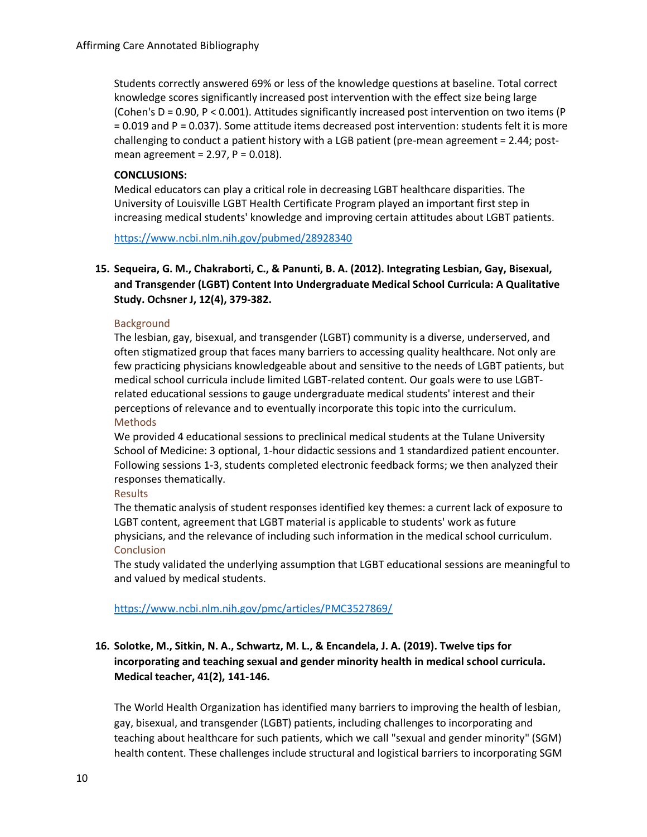Students correctly answered 69% or less of the knowledge questions at baseline. Total correct knowledge scores significantly increased post intervention with the effect size being large (Cohen's D = 0.90, P < 0.001). Attitudes significantly increased post intervention on two items (P = 0.019 and P = 0.037). Some attitude items decreased post intervention: students felt it is more challenging to conduct a patient history with a LGB patient (pre-mean agreement = 2.44; postmean agreement =  $2.97$ ,  $P = 0.018$ ).

### **CONCLUSIONS:**

Medical educators can play a critical role in decreasing LGBT healthcare disparities. The University of Louisville LGBT Health Certificate Program played an important first step in increasing medical students' knowledge and improving certain attitudes about LGBT patients.

<https://www.ncbi.nlm.nih.gov/pubmed/28928340>

## **15. Sequeira, G. M., Chakraborti, C., & Panunti, B. A. (2012). Integrating Lesbian, Gay, Bisexual, and Transgender (LGBT) Content Into Undergraduate Medical School Curricula: A Qualitative Study. Ochsner J, 12(4), 379-382.**

#### **Background**

The lesbian, gay, bisexual, and transgender (LGBT) community is a diverse, underserved, and often stigmatized group that faces many barriers to accessing quality healthcare. Not only are few practicing physicians knowledgeable about and sensitive to the needs of LGBT patients, but medical school curricula include limited LGBT-related content. Our goals were to use LGBTrelated educational sessions to gauge undergraduate medical students' interest and their perceptions of relevance and to eventually incorporate this topic into the curriculum. Methods

We provided 4 educational sessions to preclinical medical students at the Tulane University School of Medicine: 3 optional, 1-hour didactic sessions and 1 standardized patient encounter. Following sessions 1-3, students completed electronic feedback forms; we then analyzed their responses thematically.

#### **Results**

The thematic analysis of student responses identified key themes: a current lack of exposure to LGBT content, agreement that LGBT material is applicable to students' work as future physicians, and the relevance of including such information in the medical school curriculum. Conclusion

The study validated the underlying assumption that LGBT educational sessions are meaningful to and valued by medical students.

#### <https://www.ncbi.nlm.nih.gov/pmc/articles/PMC3527869/>

## **16. Solotke, M., Sitkin, N. A., Schwartz, M. L., & Encandela, J. A. (2019). Twelve tips for incorporating and teaching sexual and gender minority health in medical school curricula. Medical teacher, 41(2), 141-146.**

The World Health Organization has identified many barriers to improving the health of lesbian, gay, bisexual, and transgender (LGBT) patients, including challenges to incorporating and teaching about healthcare for such patients, which we call "sexual and gender minority" (SGM) health content. These challenges include structural and logistical barriers to incorporating SGM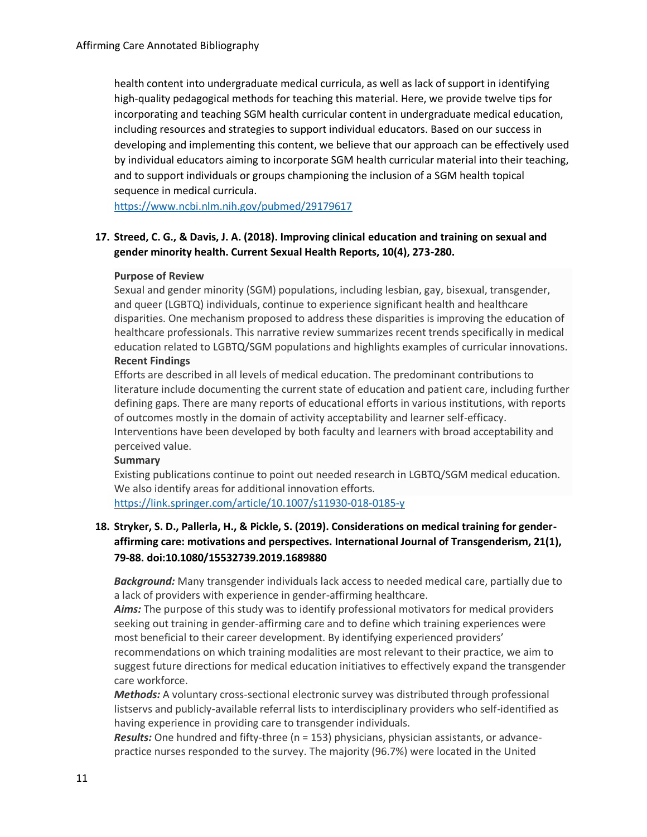health content into undergraduate medical curricula, as well as lack of support in identifying high-quality pedagogical methods for teaching this material. Here, we provide twelve tips for incorporating and teaching SGM health curricular content in undergraduate medical education, including resources and strategies to support individual educators. Based on our success in developing and implementing this content, we believe that our approach can be effectively used by individual educators aiming to incorporate SGM health curricular material into their teaching, and to support individuals or groups championing the inclusion of a SGM health topical sequence in medical curricula.

<https://www.ncbi.nlm.nih.gov/pubmed/29179617>

## **17. Streed, C. G., & Davis, J. A. (2018). Improving clinical education and training on sexual and gender minority health. Current Sexual Health Reports, 10(4), 273-280.**

#### **Purpose of Review**

Sexual and gender minority (SGM) populations, including lesbian, gay, bisexual, transgender, and queer (LGBTQ) individuals, continue to experience significant health and healthcare disparities. One mechanism proposed to address these disparities is improving the education of healthcare professionals. This narrative review summarizes recent trends specifically in medical education related to LGBTQ/SGM populations and highlights examples of curricular innovations. **Recent Findings**

Efforts are described in all levels of medical education. The predominant contributions to literature include documenting the current state of education and patient care, including further defining gaps. There are many reports of educational efforts in various institutions, with reports of outcomes mostly in the domain of activity acceptability and learner self-efficacy. Interventions have been developed by both faculty and learners with broad acceptability and perceived value.

#### **Summary**

Existing publications continue to point out needed research in LGBTQ/SGM medical education. We also identify areas for additional innovation efforts.

<https://link.springer.com/article/10.1007/s11930-018-0185-y>

## **18. Stryker, S. D., Pallerla, H., & Pickle, S. (2019). Considerations on medical training for genderaffirming care: motivations and perspectives. International Journal of Transgenderism, 21(1), 79-88. doi:10.1080/15532739.2019.1689880**

*Background:* Many transgender individuals lack access to needed medical care, partially due to a lack of providers with experience in gender-affirming healthcare.

*Aims:* The purpose of this study was to identify professional motivators for medical providers seeking out training in gender-affirming care and to define which training experiences were most beneficial to their career development. By identifying experienced providers' recommendations on which training modalities are most relevant to their practice, we aim to suggest future directions for medical education initiatives to effectively expand the transgender care workforce.

*Methods:* A voluntary cross-sectional electronic survey was distributed through professional listservs and publicly-available referral lists to interdisciplinary providers who self-identified as having experience in providing care to transgender individuals.

*Results:* One hundred and fifty-three (n = 153) physicians, physician assistants, or advancepractice nurses responded to the survey. The majority (96.7%) were located in the United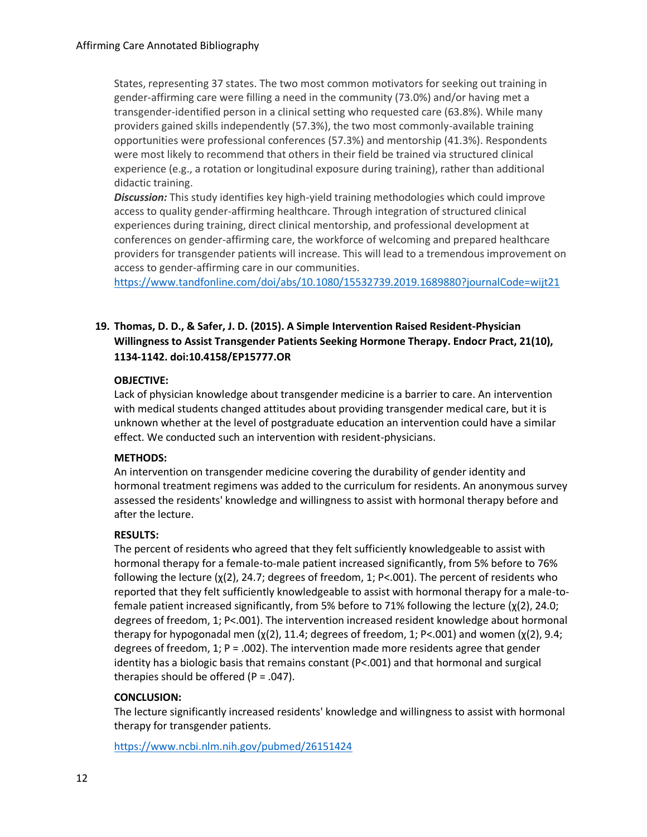States, representing 37 states. The two most common motivators for seeking out training in gender-affirming care were filling a need in the community (73.0%) and/or having met a transgender-identified person in a clinical setting who requested care (63.8%). While many providers gained skills independently (57.3%), the two most commonly-available training opportunities were professional conferences (57.3%) and mentorship (41.3%). Respondents were most likely to recommend that others in their field be trained via structured clinical experience (e.g., a rotation or longitudinal exposure during training), rather than additional didactic training.

*Discussion:* This study identifies key high-yield training methodologies which could improve access to quality gender-affirming healthcare. Through integration of structured clinical experiences during training, direct clinical mentorship, and professional development at conferences on gender-affirming care, the workforce of welcoming and prepared healthcare providers for transgender patients will increase. This will lead to a tremendous improvement on access to gender-affirming care in our communities.

<https://www.tandfonline.com/doi/abs/10.1080/15532739.2019.1689880?journalCode=wijt21>

## **19. Thomas, D. D., & Safer, J. D. (2015). A Simple Intervention Raised Resident-Physician Willingness to Assist Transgender Patients Seeking Hormone Therapy. Endocr Pract, 21(10), 1134-1142. doi:10.4158/EP15777.OR**

### **OBJECTIVE:**

Lack of physician knowledge about transgender medicine is a barrier to care. An intervention with medical students changed attitudes about providing transgender medical care, but it is unknown whether at the level of postgraduate education an intervention could have a similar effect. We conducted such an intervention with resident-physicians.

#### **METHODS:**

An intervention on transgender medicine covering the durability of gender identity and hormonal treatment regimens was added to the curriculum for residents. An anonymous survey assessed the residents' knowledge and willingness to assist with hormonal therapy before and after the lecture.

#### **RESULTS:**

The percent of residents who agreed that they felt sufficiently knowledgeable to assist with hormonal therapy for a female-to-male patient increased significantly, from 5% before to 76% following the lecture (χ(2), 24.7; degrees of freedom, 1; P<.001). The percent of residents who reported that they felt sufficiently knowledgeable to assist with hormonal therapy for a male-tofemale patient increased significantly, from 5% before to 71% following the lecture (χ(2), 24.0; degrees of freedom, 1; P<.001). The intervention increased resident knowledge about hormonal therapy for hypogonadal men  $(y(2), 11.4;$  degrees of freedom, 1; P<.001) and women  $(y(2), 9.4;$ degrees of freedom,  $1$ ; P = .002). The intervention made more residents agree that gender identity has a biologic basis that remains constant (P<.001) and that hormonal and surgical therapies should be offered ( $P = .047$ ).

## **CONCLUSION:**

The lecture significantly increased residents' knowledge and willingness to assist with hormonal therapy for transgender patients.

<https://www.ncbi.nlm.nih.gov/pubmed/26151424>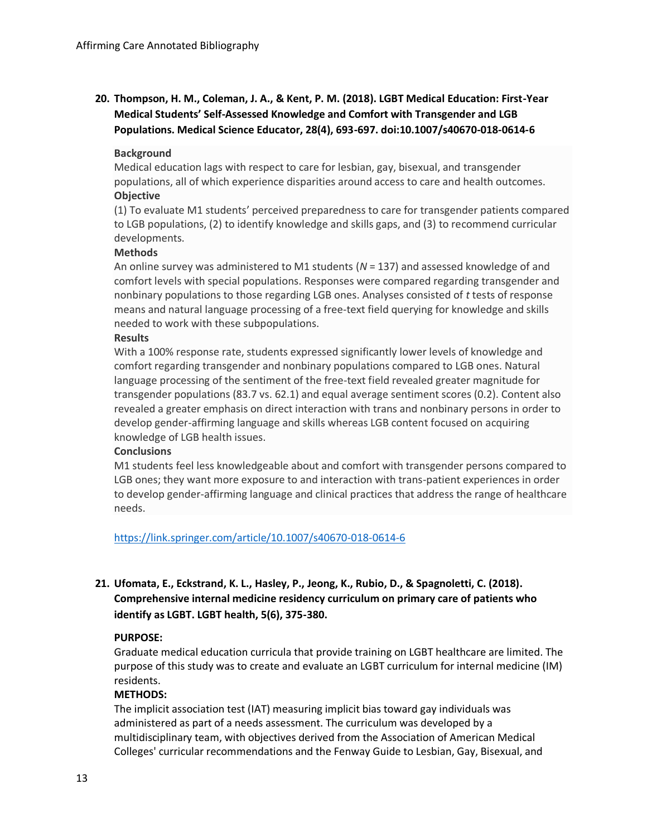# **20. Thompson, H. M., Coleman, J. A., & Kent, P. M. (2018). LGBT Medical Education: First-Year Medical Students' Self-Assessed Knowledge and Comfort with Transgender and LGB Populations. Medical Science Educator, 28(4), 693-697. doi:10.1007/s40670-018-0614-6**

### **Background**

Medical education lags with respect to care for lesbian, gay, bisexual, and transgender populations, all of which experience disparities around access to care and health outcomes. **Objective**

(1) To evaluate M1 students' perceived preparedness to care for transgender patients compared to LGB populations, (2) to identify knowledge and skills gaps, and (3) to recommend curricular developments.

#### **Methods**

An online survey was administered to M1 students (*N* = 137) and assessed knowledge of and comfort levels with special populations. Responses were compared regarding transgender and nonbinary populations to those regarding LGB ones. Analyses consisted of *t* tests of response means and natural language processing of a free-text field querying for knowledge and skills needed to work with these subpopulations.

### **Results**

With a 100% response rate, students expressed significantly lower levels of knowledge and comfort regarding transgender and nonbinary populations compared to LGB ones. Natural language processing of the sentiment of the free-text field revealed greater magnitude for transgender populations (83.7 vs. 62.1) and equal average sentiment scores (0.2). Content also revealed a greater emphasis on direct interaction with trans and nonbinary persons in order to develop gender-affirming language and skills whereas LGB content focused on acquiring knowledge of LGB health issues.

#### **Conclusions**

M1 students feel less knowledgeable about and comfort with transgender persons compared to LGB ones; they want more exposure to and interaction with trans-patient experiences in order to develop gender-affirming language and clinical practices that address the range of healthcare needs.

<https://link.springer.com/article/10.1007/s40670-018-0614-6>

## **21. Ufomata, E., Eckstrand, K. L., Hasley, P., Jeong, K., Rubio, D., & Spagnoletti, C. (2018). Comprehensive internal medicine residency curriculum on primary care of patients who identify as LGBT. LGBT health, 5(6), 375-380.**

## **PURPOSE:**

Graduate medical education curricula that provide training on LGBT healthcare are limited. The purpose of this study was to create and evaluate an LGBT curriculum for internal medicine (IM) residents.

#### **METHODS:**

The implicit association test (IAT) measuring implicit bias toward gay individuals was administered as part of a needs assessment. The curriculum was developed by a multidisciplinary team, with objectives derived from the Association of American Medical Colleges' curricular recommendations and the Fenway Guide to Lesbian, Gay, Bisexual, and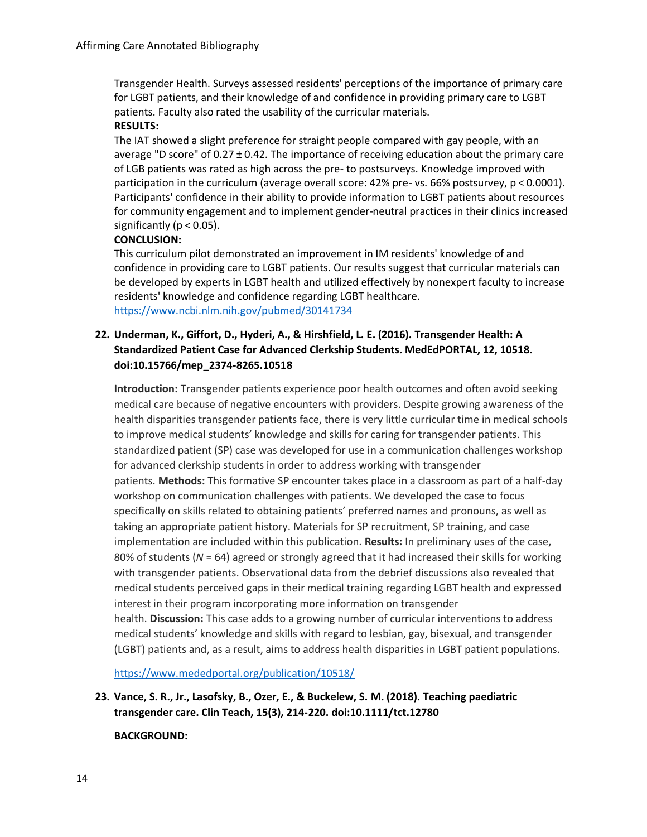Transgender Health. Surveys assessed residents' perceptions of the importance of primary care for LGBT patients, and their knowledge of and confidence in providing primary care to LGBT patients. Faculty also rated the usability of the curricular materials. **RESULTS:**

The IAT showed a slight preference for straight people compared with gay people, with an average "D score" of 0.27 ± 0.42. The importance of receiving education about the primary care of LGB patients was rated as high across the pre- to postsurveys. Knowledge improved with participation in the curriculum (average overall score: 42% pre- vs. 66% postsurvey, p < 0.0001). Participants' confidence in their ability to provide information to LGBT patients about resources for community engagement and to implement gender-neutral practices in their clinics increased significantly ( $p < 0.05$ ).

### **CONCLUSION:**

This curriculum pilot demonstrated an improvement in IM residents' knowledge of and confidence in providing care to LGBT patients. Our results suggest that curricular materials can be developed by experts in LGBT health and utilized effectively by nonexpert faculty to increase residents' knowledge and confidence regarding LGBT healthcare. <https://www.ncbi.nlm.nih.gov/pubmed/30141734>

## **22. Underman, K., Giffort, D., Hyderi, A., & Hirshfield, L. E. (2016). Transgender Health: A Standardized Patient Case for Advanced Clerkship Students. MedEdPORTAL, 12, 10518. doi:10.15766/mep\_2374-8265.10518**

**Introduction:** Transgender patients experience poor health outcomes and often avoid seeking medical care because of negative encounters with providers. Despite growing awareness of the health disparities transgender patients face, there is very little curricular time in medical schools to improve medical students' knowledge and skills for caring for transgender patients. This standardized patient (SP) case was developed for use in a communication challenges workshop for advanced clerkship students in order to address working with transgender patients. **Methods:** This formative SP encounter takes place in a classroom as part of a half-day workshop on communication challenges with patients. We developed the case to focus specifically on skills related to obtaining patients' preferred names and pronouns, as well as taking an appropriate patient history. Materials for SP recruitment, SP training, and case implementation are included within this publication. **Results:** In preliminary uses of the case, 80% of students (*N* = 64) agreed or strongly agreed that it had increased their skills for working with transgender patients. Observational data from the debrief discussions also revealed that medical students perceived gaps in their medical training regarding LGBT health and expressed interest in their program incorporating more information on transgender health. **Discussion:** This case adds to a growing number of curricular interventions to address medical students' knowledge and skills with regard to lesbian, gay, bisexual, and transgender (LGBT) patients and, as a result, aims to address health disparities in LGBT patient populations.

<https://www.mededportal.org/publication/10518/>

**23. Vance, S. R., Jr., Lasofsky, B., Ozer, E., & Buckelew, S. M. (2018). Teaching paediatric transgender care. Clin Teach, 15(3), 214-220. doi:10.1111/tct.12780**

**BACKGROUND:**